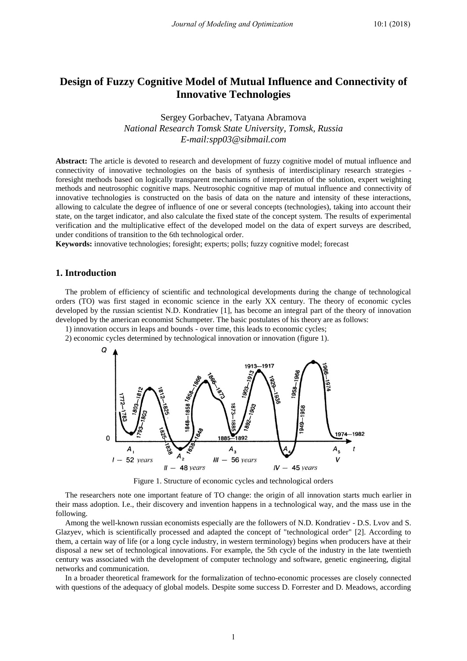# **Design of Fuzzy Cognitive Model of Mutual Influence and Connectivity of Innovative Technologies**

Sergey Gorbachev, Tatyana Abramova *National Research Tomsk State University, Tomsk, Russia E-mail:spp03@sibmail.com*

**Abstract:** The article is devoted to research and development of fuzzy cognitive model of mutual influence and connectivity of innovative technologies on the basis of synthesis of interdisciplinary research strategies foresight methods based on logically transparent mechanisms of interpretation of the solution, expert weighting methods and neutrosophic cognitive maps. Neutrosophic cognitive map of mutual influence and connectivity of innovative technologies is constructed on the basis of data on the nature and intensity of these interactions, allowing to calculate the degree of influence of one or several concepts (technologies), taking into account their state, on the target indicator, and also calculate the fixed state of the concept system. The results of experimental verification and the multiplicative effect of the developed model on the data of expert surveys are described, under conditions of transition to the 6th technological order.

**Keywords:** innovative technologies; foresight; experts; polls; fuzzy cognitive model; forecast

## **1. Introduction**

The problem of efficiency of scientific and technological developments during the change of technological orders (TO) was first staged in economic science in the early XX century. The theory of economic cycles developed by the russian scientist N.D. Kondratiev [1], has become an integral part of the theory of innovation developed by the american economist Schumpeter. The basic postulates of his theory are as follows:

- 1) innovation occurs in leaps and bounds over time, this leads to economic cycles;
- 2) economic cycles determined by technological innovation or innovation (figure 1).



Figure 1. Structure of economic cycles and technological orders

The researchers note one important feature of TO change: the origin of all innovation starts much earlier in their mass adoption. I.e., their discovery and invention happens in a technological way, and the mass use in the following.

Among the well-known russian economists especially are the followers of N.D. Kondratiev - D.S. Lvov and S. Glazyev, which is scientifically processed and adapted the concept of "technological order" [2]. According to them, a certain way of life (or a long cycle industry, in western terminology) begins when producers have at their disposal a new set of technological innovations. For example, the 5th cycle of the industry in the late twentieth century was associated with the development of computer technology and software, genetic engineering, digital networks and communication.

In a broader theoretical framework for the formalization of techno-economic processes are closely connected with questions of the adequacy of global models. Despite some success D. Forrester and D. Meadows, according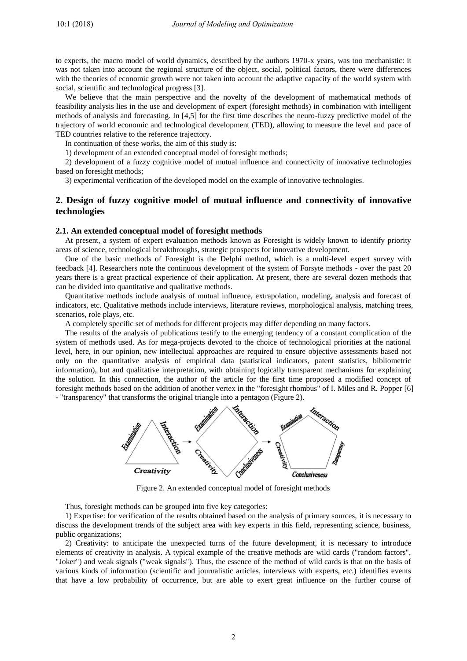to experts, the macro model of world dynamics, described by the authors 1970-x years, was too mechanistic: it was not taken into account the regional structure of the object, social, political factors, there were differences with the theories of economic growth were not taken into account the adaptive capacity of the world system with social, scientific and technological progress [3].

We believe that the main perspective and the novelty of the development of mathematical methods of feasibility analysis lies in the use and development of expert (foresight methods) in combination with intelligent methods of analysis and forecasting. In [4,5] for the first time describes the neuro-fuzzy predictive model of the trajectory of world economic and technological development (TED), allowing to measure the level and pace of TED countries relative to the reference trajectory.

In continuation of these works, the aim of this study is:

1) development of an extended conceptual model of foresight methods;

2) development of a fuzzy cognitive model of mutual influence and connectivity of innovative technologies based on foresight methods;

3) experimental verification of the developed model on the example of innovative technologies.

## **2. Design of fuzzy cognitive model of mutual influence and connectivity of innovative technologies**

#### **2.1. An extended conceptual model of foresight methods**

At present, a system of expert evaluation methods known as Foresight is widely known to identify priority areas of science, technological breakthroughs, strategic prospects for innovative development.

One of the basic methods of Foresight is the Delphi method, which is a multi-level expert survey with feedback [4]. Researchers note the continuous development of the system of Forsyte methods - over the past 20 years there is a great practical experience of their application. At present, there are several dozen methods that can be divided into quantitative and qualitative methods.

Quantitative methods include analysis of mutual influence, extrapolation, modeling, analysis and forecast of indicators, etc. Qualitative methods include interviews, literature reviews, morphological analysis, matching trees, scenarios, role plays, etc.

A completely specific set of methods for different projects may differ depending on many factors.

The results of the analysis of publications testify to the emerging tendency of a constant complication of the system of methods used. As for mega-projects devoted to the choice of technological priorities at the national level, here, in our opinion, new intellectual approaches are required to ensure objective assessments based not only on the quantitative analysis of empirical data (statistical indicators, patent statistics, bibliometric information), but and qualitative interpretation, with obtaining logically transparent mechanisms for explaining the solution. In this connection, the author of the article for the first time proposed a modified concept of foresight methods based on the addition of another vertex in the "foresight rhombus" of I. Miles and R. Popper [6] - "transparency" that transforms the original triangle into a pentagon (Figure 2).



Figure 2. An extended conceptual model of foresight methods

Thus, foresight methods can be grouped into five key categories:

1) Expertise: for verification of the results obtained based on the analysis of primary sources, it is necessary to discuss the development trends of the subject area with key experts in this field, representing science, business, public organizations;

2) Creativity: to anticipate the unexpected turns of the future development, it is necessary to introduce elements of creativity in analysis. A typical example of the creative methods are wild cards ("random factors", "Joker") and weak signals ("weak signals"). Thus, the essence of the method of wild cards is that on the basis of various kinds of information (scientific and journalistic articles, interviews with experts, etc.) identifies events that have a low probability of occurrence, but are able to exert great influence on the further course of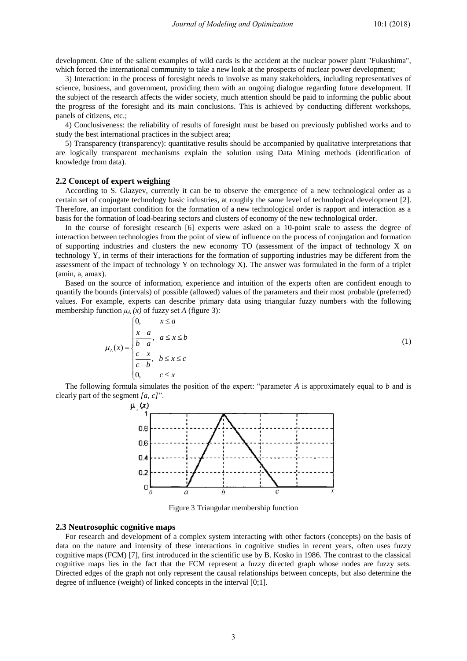development. One of the salient examples of wild cards is the accident at the nuclear power plant "Fukushima", which forced the international community to take a new look at the prospects of nuclear power development;

3) Interaction: in the process of foresight needs to involve as many stakeholders, including representatives of science, business, and government, providing them with an ongoing dialogue regarding future development. If the subject of the research affects the wider society, much attention should be paid to informing the public about the progress of the foresight and its main conclusions. This is achieved by conducting different workshops, panels of citizens, etc.;

4) Conclusiveness: the reliability of results of foresight must be based on previously published works and to study the best international practices in the subject area;

5) Transparency (transparency): quantitative results should be accompanied by qualitative interpretations that are logically transparent mechanisms explain the solution using Data Mining methods (identification of knowledge from data).

#### **2.2 Сoncept of expert weighing**

 $\sqrt{2}$ 

According to S. Glazyev, currently it can be to observe the emergence of a new technological order as a certain set of conjugate technology basic industries, at roughly the same level of technological development [2]. Therefore, an important condition for the formation of a new technological order is rapport and interaction as a basis for the formation of load-bearing sectors and clusters of economy of the new technological order.

In the course of foresight research [6] experts were asked on a 10-point scale to assess the degree of interaction between technologies from the point of view of influence on the process of conjugation and formation of supporting industries and clusters the new economy TO (assessment of the impact of technology X on technology Y, in terms of their interactions for the formation of supporting industries may be different from the assessment of the impact of technology Y on technology X). The answer was formulated in the form of a triplet (amin, a, amax).

Based on the source of information, experience and intuition of the experts often are confident enough to quantify the bounds (intervals) of possible (allowed) values of the parameters and their most probable (preferred) values. For example, experts can describe primary data using triangular fuzzy numbers with the following membership function  $\mu_A(x)$  of fuzzy set *A* (figure 3):<br>  $\begin{cases} 0, & x \leq a \end{cases}$ 

$$
\mu_A(x) = \begin{cases}\n0, & x \le a \\
\frac{x-a}{b-a}, & a \le x \le b \\
\frac{c-x}{c-b}, & b \le x \le c \\
0, & c \le x\n\end{cases} \tag{1}
$$

The following formula simulates the position of the expert: "parameter *A* is approximately equal to *b* and is clearly part of the segment *[a, c]*".



Figure 3 Triangular membership function

#### **2.3 Neutrosophic cognitive maps**

For research and development of a complex system interacting with other factors (concepts) on the basis of data on the nature and intensity of these interactions in cognitive studies in recent years, often uses fuzzy cognitive maps (FCM) [7], first introduced in the scientific use by B. Kosko in 1986. The contrast to the classical cognitive maps lies in the fact that the FCM represent a fuzzy directed graph whose nodes are fuzzy sets. Directed edges of the graph not only represent the causal relationships between concepts, but also determine the degree of influence (weight) of linked concepts in the interval [0;1].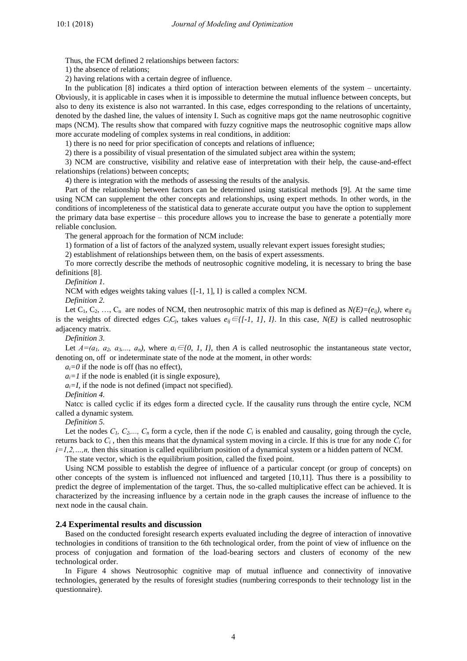Thus, the FCM defined 2 relationships between factors:

1) the absence of relations;

2) having relations with a certain degree of influence.

In the publication [8] indicates a third option of interaction between elements of the system – uncertainty. Obviously, it is applicable in cases when it is impossible to determine the mutual influence between concepts, but also to deny its existence is also not warranted. In this case, edges corresponding to the relations of uncertainty, denoted by the dashed line, the values of intensity I. Such as cognitive maps got the name neutrosophic cognitive maps (NCM). The results show that compared with fuzzy cognitive maps the neutrosophic cognitive maps allow more accurate modeling of complex systems in real conditions, in addition:

1) there is no need for prior specification of concepts and relations of influence;

2) there is a possibility of visual presentation of the simulated subject area within the system;

3) NCM are constructive, visibility and relative ease of interpretation with their help, the cause-and-effect relationships (relations) between concepts;

4) there is integration with the methods of assessing the results of the analysis.

Part of the relationship between factors can be determined using statistical methods [9]. At the same time using NCM can supplement the other concepts and relationships, using expert methods. In other words, in the conditions of incompleteness of the statistical data to generate accurate output you have the option to supplement the primary data base expertise – this procedure allows you to increase the base to generate a potentially more reliable conclusion.

The general approach for the formation of NCM include:

1) formation of a list of factors of the analyzed system, usually relevant expert issues foresight studies;

2) establishment of relationships between them, on the basis of expert assessments.

To more correctly describe the methods of neutrosophic cognitive modeling, it is necessary to bring the base definitions [8].

*Definition 1.*

NCM with edges weights taking values {[-1, 1], I} is called a complex NCM.

*Definition 2.*

Let  $C_1, C_2, ..., C_n$  are nodes of NCM, then neutrosophic matrix of this map is defined as  $N(E) = (e_{ij})$ , where  $e_{ij}$ is the weights of directed edges  $C_iC_j$ , takes values  $e_{ij} \in \{[-1, 1], I\}$ . In this case,  $N(E)$  is called neutrosophic adjacency matrix.

*Definition 3.*

Let  $A=(a_1, a_2, a_3,..., a_n)$ , where  $a_i \in \{0, 1, 1\}$ , then *A* is called neutrosophic the instantaneous state vector, denoting on, off or indeterminate state of the node at the moment, in other words:

 $a_i = 0$  if the node is off (has no effect),

 $a_i = 1$  if the node is enabled (it is single exposure),

 $a_i = I$ , if the node is not defined (impact not specified).

*Definition 4.*

Natcc is called cyclic if its edges form a directed cycle. If the causality runs through the entire cycle, NCM called a dynamic system.

*Definition 5.* 

Let the nodes  $C_1$ ,  $C_2$ ,...,  $C_n$  form a cycle, then if the node  $C_i$  is enabled and causality, going through the cycle, returns back to *С<sup>i</sup>* , then this means that the dynamical system moving in a circle. If this is true for any node *С<sup>i</sup>* for *i=1,2,…,n,* then this situation is called equilibrium position of a dynamical system or a hidden pattern of NCM.

The state vector, which is the equilibrium position, called the fixed point.

Using NCM possible to establish the degree of influence of a particular concept (or group of concepts) on other concepts of the system is influenced not influenced and targeted [10,11]. Thus there is a possibility to predict the degree of implementation of the target. Thus, the so-called multiplicative effect can be achieved. It is characterized by the increasing influence by a certain node in the graph causes the increase of influence to the next node in the causal chain.

### **2.4 Experimental results and discussion**

Based on the conducted foresight research experts evaluated including the degree of interaction of innovative technologies in conditions of transition to the 6th technological order, from the point of view of influence on the process of conjugation and formation of the load-bearing sectors and clusters of economy of the new technological order.

In Figure 4 shows Neutrosophic cognitive map of mutual influence and connectivity of innovative technologies, generated by the results of foresight studies (numbering corresponds to their technology list in the questionnaire).

4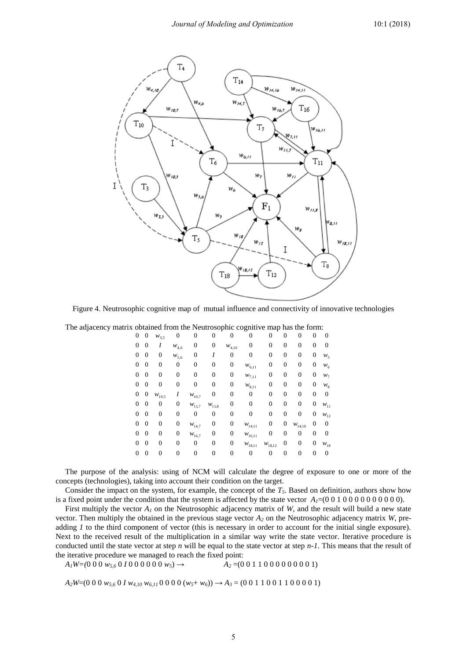

Figure 4. Neutrosophic cognitive map of mutual influence and connectivity of innovative technologies

|  |  |  | The adjacency matrix obtained from the Neutrosophic cognitive map has the form: |  |
|--|--|--|---------------------------------------------------------------------------------|--|
|  |  |  |                                                                                 |  |

| $\overline{0}$ | 0        | $W_{3,5}$        | 0         | 0              | 0                | 0          | 0               | 0           | 0                | 0                | 0                | 0        |
|----------------|----------|------------------|-----------|----------------|------------------|------------|-----------------|-------------|------------------|------------------|------------------|----------|
| 0              | 0        | I                | $W_{4,6}$ | 0              | 0                | $W_{4,10}$ | 0               | 0           | $\overline{0}$   | 0                | 0                | 0        |
| 0              | 0        | 0                | $W_{5,6}$ | 0              |                  | 0          | 0               | 0           | 0                | 0                | $\boldsymbol{0}$ | $W_5$    |
| 0              | $\theta$ | $\overline{0}$   | 0         | 0              | 0                | 0          | $W_{6,11}$      | 0           | $\overline{0}$   | 0                | 0                | $W_6$    |
| $\theta$       | $\Omega$ | $\overline{0}$   | 0         | 0              | 0                | 0          | $W_{7,11}$      | 0           | $\overline{0}$   | 0                | 0                | $W_7$    |
| 0              | $\Omega$ | $\overline{0}$   | 0         | $\overline{0}$ | 0                | 0          | $W_{8,11}$      | 0           | $\overline{0}$   | $\overline{0}$   | $\overline{0}$   | $W_8$    |
| 0              | 0        | $W_{10,5}$       | Ι         | $W_{10,7}$     | 0                | 0          | 0               | 0           | $\mathbf{0}$     | $\boldsymbol{0}$ | 0                | $\theta$ |
| 0              | 0        | 0                | 0         | $W_{11,7}$     | $W_{11,8}$       | 0          | 0               | 0           | $\mathbf{0}$     | $\overline{0}$   | 0                | $W_{11}$ |
| 0              | $\Omega$ | 0                | 0         | 0              | $\overline{0}$   | 0          | 0               | 0           | $\mathbf{0}$     | 0                | 0                | $W_{12}$ |
| 0              | 0        | $\boldsymbol{0}$ | 0         | $W_{14,7}$     | 0                | 0          | $W_{14,11}$     | 0           | $\boldsymbol{0}$ | $W_{14,16}$      | 0                | 0        |
| 0              | 0        | $\boldsymbol{0}$ | 0         | $W_{16,7}$     | 0                | 0          | $W_{16,11}$     | 0           | $\overline{0}$   | $\overline{0}$   | 0                | 0        |
| 0              | 0        | $\overline{0}$   | 0         | 0              | $\boldsymbol{0}$ | 0          | $W_{\rm 18,11}$ | $W_{18,12}$ | $\boldsymbol{0}$ | 0                | 0                | $W_{18}$ |
| 0              | 0        | $\boldsymbol{0}$ | 0         | 0              | 0                | 0          | 0               | 0           | $\boldsymbol{0}$ | 0                | 0                | 0        |
|                |          |                  |           |                |                  |            |                 |             |                  |                  |                  |          |

The purpose of the analysis: using of NCM will calculate the degree of exposure to one or more of the concepts (technologies), taking into account their condition on the target.

Consider the impact on the system, for example, the concept of the *T5*. Based on definition, authors show how is a fixed point under the condition that the system is affected by the state vector  $A_1=(0\ 0\ 1\ 0\ 0\ 0\ 0\ 0\ 0\ 0\ 0)$ .

First multiply the vector  $A_I$  on the Neutrosophic adjacency matrix of *W*, and the result will build a new state vector. Then multiply the obtained in the previous stage vector *A<sup>2</sup>* on the Neutrosophic adjacency matrix *W*, preadding *1* to the third component of vector (this is necessary in order to account for the initial single exposure). Next to the received result of the multiplication in a similar way write the state vector. Iterative procedure is conducted until the state vector at step *n* will be equal to the state vector at step *n-1*. This means that the result of the iterative procedure we managed to reach the fixed point:

 $A_1W=(0\ 0\ 0\ w_{5,6}\ 0\ 1\ 0\ 0\ 0\ 0\ 0\ w_{5}) \rightarrow A_2=(0\ 0\ 1\ 1\ 0\ 0\ 0\ 0\ 0\ 0\ 0\ 1)$ 

 $A_2W=(0\ 0\ 0\ w_{5,6}\ 0\ I\ w_{4,10}\ w_{6,11}\ 0\ 0\ 0\ 0\ (w_5+w_6)) \rightarrow A_3=(0\ 0\ 1\ 1\ 0\ 0\ 1\ 1\ 0\ 0\ 0\ 0\ 1)$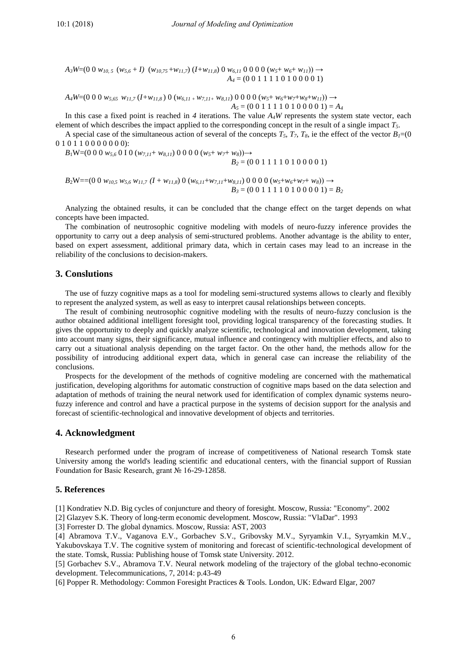$A_3W=(0\ 0\ w_{10,5}(w_{5,6}+I)(w_{10,75}+w_{11,7})(I+w_{11,8})\ 0\ w_{6,11}\ 0\ 0\ 0\ 0\ (w_{5}+w_{6}+w_{11}))\rightarrow$  $A_4 = (0\ 0\ 1\ 1\ 1\ 1\ 0\ 1\ 0\ 0\ 0\ 0\ 1)$ 

 $A_4W=(0\ 0\ 0\ w_{5,65}\ w_{11,7}(I+w_{11,8})\ 0\ (w_{6,11}+w_{7,11}+w_{8,11})\ 0\ 0\ 0\ 0\ (w_5+w_6+w_7+w_8+w_{11}))\rightarrow$  $A_5 = (0 0 1 1 1 1 0 1 0 0 0 0 1) = A_4$ 

In this case a fixed point is reached in 4 iterations. The value  $A_4W$  represents the system state vector, each element of which describes the impact applied to the corresponding concept in the result of a single impact *T5*.

A special case of the simultaneous action of several of the concepts  $T_5$ ,  $T_7$ ,  $T_8$ , ie the effect of the vector  $B_1=0$ 0 1 0 1 1 0 0 0 0 0 0 0):

*B*<sub>1</sub>W=(0 0 0 *w*<sub>5,6</sub> 0 I 0 (*w*<sub>7,11</sub>+ *w*<sub>8,11</sub>) 0 0 0 0 (*w*<sub>5</sub>+ *w*<sub>7</sub>+ *w*<sub>8</sub>))→

$$
B_2 = (0\ 0\ 1\ 1\ 1\ 1\ 0\ 1\ 0\ 0\ 0\ 0\ 1)
$$

$$
B_2W = (0\ 0\ w_{10,5}\ w_{5,6}\ w_{11,7}\ (I + w_{11,8})\ 0\ (w_{6,11} + w_{7,11} + w_{8,11})\ 0\ 0\ 0\ 0\ (w_5 + w_6 + w_7 + w_8)) \rightarrow
$$
  

$$
B_3 = (0\ 0\ 1\ 1\ 1\ 1\ 0\ 1\ 0\ 0\ 0\ 0\ 1) = B_2
$$

Analyzing the obtained results, it can be concluded that the change effect on the target depends on what concepts have been impacted.

The combination of neutrosophic cognitive modeling with models of neuro-fuzzy inference provides the opportunity to carry out a deep analysis of semi-structured problems. Another advantage is the ability to enter, based on expert assessment, additional primary data, which in certain cases may lead to an increase in the reliability of the conclusions to decision-makers.

## **3. Conslutions**

The use of fuzzy cognitive maps as a tool for modeling semi-structured systems allows to clearly and flexibly to represent the analyzed system, as well as easy to interpret causal relationships between concepts.

The result of combining neutrosophic cognitive modeling with the results of neuro-fuzzy conclusion is the author obtained additional intelligent foresight tool, providing logical transparency of the forecasting studies. It gives the opportunity to deeply and quickly analyze scientific, technological and innovation development, taking into account many signs, their significance, mutual influence and contingency with multiplier effects, and also to carry out a situational analysis depending on the target factor. On the other hand, the methods allow for the possibility of introducing additional expert data, which in general case can increase the reliability of the conclusions.

Prospects for the development of the methods of cognitive modeling are concerned with the mathematical justification, developing algorithms for automatic construction of cognitive maps based on the data selection and adaptation of methods of training the neural network used for identification of complex dynamic systems neurofuzzy inference and control and have a practical purpose in the systems of decision support for the analysis and forecast of scientific-technological and innovative development of objects and territories.

#### **4. Acknowledgment**

Research performed under the program of increase of competitiveness of National research Tomsk state University among the world's leading scientific and educational centers, with the financial support of Russian Foundation for Basic Research, grant № 16-29-12858.

#### **5. References**

[1] Kondratiev N.D. Big cycles of conjuncture and theory of foresight. Moscow, Russia: "Economy". 2002

[2] Glazyev S.K. Theory of long-term economic development. Moscow, Russia: "VlaDar". 1993

[3] Forrester D. The global dynamics. Moscow, Russia: AST, 2003

[4] Abramova T.V., Vaganova E.V., Gorbachev S.V., Gribovsky M.V., Syryamkin V.I., Syryamkin M.V., Yakubovskaya T.V. The cognitive system of monitoring and forecast of scientific-technological development of the state. Tomsk, Russia: Publishing house of Tomsk state University. 2012.

[5] Gorbachev S.V., Abramova T.V. Neural network modeling of the trajectory of the global techno-economic development. Telecommunications, 7, 2014: p.43-49

[6] Popper R. Methodology: Common Foresight Practices & Tools. London, UK: Edward Elgar, 2007